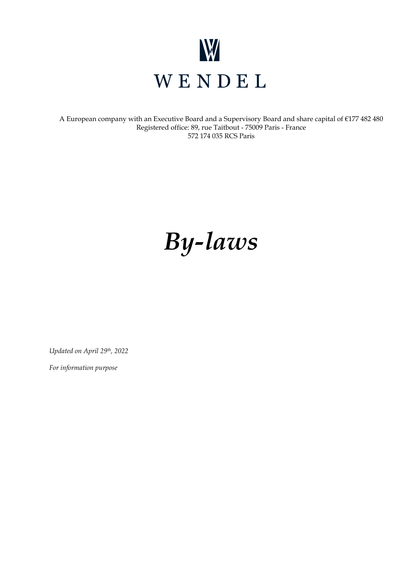

A European company with an Executive Board and a Supervisory Board and share capital of €177 482 480 Registered office: 89, rue Taitbout - 75009 Paris - France 572 174 035 RCS Paris

# *By-laws*

*Updated on April 29th, 2022*

*For information purpose*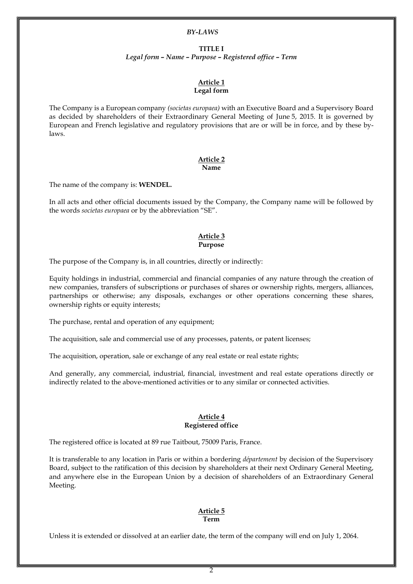#### *BY-LAWS*

#### **TITLE I**

*Legal form – Name – Purpose – Registered office – Term*

#### **Article 1 Legal form**

The Company is a European company *(societas europaea)* with an Executive Board and a Supervisory Board as decided by shareholders of their Extraordinary General Meeting of June 5, 2015. It is governed by European and French legislative and regulatory provisions that are or will be in force, and by these bylaws.

#### **Article 2 Name**

The name of the company is: **WENDEL.**

In all acts and other official documents issued by the Company, the Company name will be followed by the words *societas europaea* or by the abbreviation "SE".

#### **Article 3 Purpose**

The purpose of the Company is, in all countries, directly or indirectly:

Equity holdings in industrial, commercial and financial companies of any nature through the creation of new companies, transfers of subscriptions or purchases of shares or ownership rights, mergers, alliances, partnerships or otherwise; any disposals, exchanges or other operations concerning these shares, ownership rights or equity interests;

The purchase, rental and operation of any equipment;

The acquisition, sale and commercial use of any processes, patents, or patent licenses;

The acquisition, operation, sale or exchange of any real estate or real estate rights;

And generally, any commercial, industrial, financial, investment and real estate operations directly or indirectly related to the above-mentioned activities or to any similar or connected activities.

#### **Article 4 Registered office**

The registered office is located at 89 rue Taitbout, 75009 Paris, France.

It is transferable to any location in Paris or within a bordering *département* by decision of the Supervisory Board, subject to the ratification of this decision by shareholders at their next Ordinary General Meeting, and anywhere else in the European Union by a decision of shareholders of an Extraordinary General Meeting.

#### **Article 5 Term**

Unless it is extended or dissolved at an earlier date, the term of the company will end on July 1, 2064.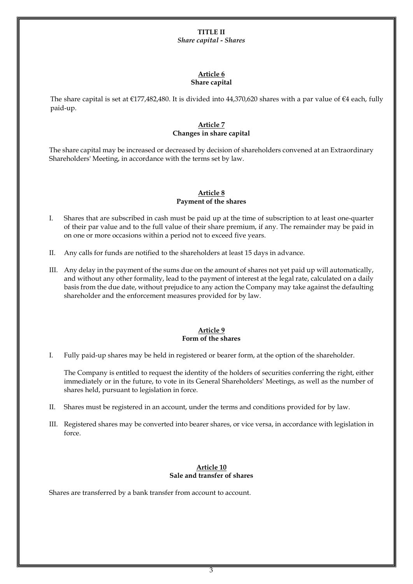#### **TITLE II** *Share capital - Shares*

#### **Article 6 Share capital**

The share capital is set at €177,482,480. It is divided into 44,370,620 shares with a par value of €4 each, fully paid-up.

# **Article 7 Changes in share capital**

The share capital may be increased or decreased by decision of shareholders convened at an Extraordinary Shareholders' Meeting, in accordance with the terms set by law.

### **Article 8 Payment of the shares**

- I. Shares that are subscribed in cash must be paid up at the time of subscription to at least one-quarter of their par value and to the full value of their share premium, if any. The remainder may be paid in on one or more occasions within a period not to exceed five years.
- II. Any calls for funds are notified to the shareholders at least 15 days in advance.
- III. Any delay in the payment of the sums due on the amount of shares not yet paid up will automatically, and without any other formality, lead to the payment of interest at the legal rate, calculated on a daily basis from the due date, without prejudice to any action the Company may take against the defaulting shareholder and the enforcement measures provided for by law.

# **Article 9 Form of the shares**

I. Fully paid-up shares may be held in registered or bearer form, at the option of the shareholder.

The Company is entitled to request the identity of the holders of securities conferring the right, either immediately or in the future, to vote in its General Shareholders' Meetings, as well as the number of shares held, pursuant to legislation in force.

- II. Shares must be registered in an account, under the terms and conditions provided for by law.
- III. Registered shares may be converted into bearer shares, or vice versa, in accordance with legislation in force.

#### **Article 10 Sale and transfer of shares**

Shares are transferred by a bank transfer from account to account.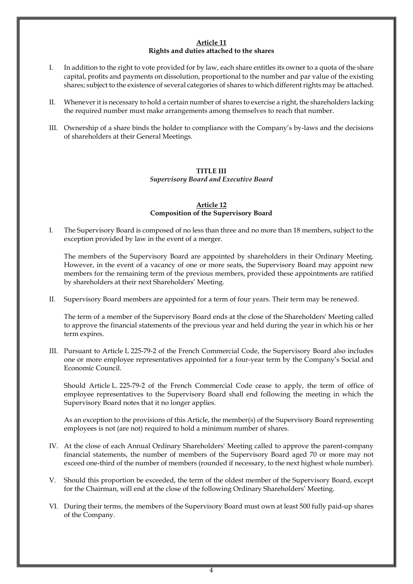#### **Article 11 Rights and duties attached to the shares**

- I. In addition to the right to vote provided for by law, each share entitles its owner to a quota of the share capital, profits and payments on dissolution, proportional to the number and par value of the existing shares; subject to the existence of several categories of shares to which different rights may be attached.
- II. Whenever it is necessary to hold a certain number of shares to exercise a right, the shareholders lacking the required number must make arrangements among themselves to reach that number.
- III. Ownership of a share binds the holder to compliance with the Company's by-laws and the decisions of shareholders at their General Meetings.

# **TITLE III**

*Supervisory Board and Executive Board*

# **Article 12 Composition of the Supervisory Board**

I. The Supervisory Board is composed of no less than three and no more than 18 members, subject to the exception provided by law in the event of a merger.

The members of the Supervisory Board are appointed by shareholders in their Ordinary Meeting. However, in the event of a vacancy of one or more seats, the Supervisory Board may appoint new members for the remaining term of the previous members, provided these appointments are ratified by shareholders at their next Shareholders' Meeting.

II. Supervisory Board members are appointed for a term of four years. Their term may be renewed.

The term of a member of the Supervisory Board ends at the close of the Shareholders' Meeting called to approve the financial statements of the previous year and held during the year in which his or her term expires.

III. Pursuant to Article L 225-79-2 of the French Commercial Code, the Supervisory Board also includes one or more employee representatives appointed for a four-year term by the Company's Social and Economic Council.

Should Article L. 225-79-2 of the French Commercial Code cease to apply, the term of office of employee representatives to the Supervisory Board shall end following the meeting in which the Supervisory Board notes that it no longer applies.

As an exception to the provisions of this Article, the member(s) of the Supervisory Board representing employees is not (are not) required to hold a minimum number of shares.

- IV. At the close of each Annual Ordinary Shareholders' Meeting called to approve the parent-company financial statements, the number of members of the Supervisory Board aged 70 or more may not exceed one-third of the number of members (rounded if necessary, to the next highest whole number).
- V. Should this proportion be exceeded, the term of the oldest member of the Supervisory Board, except for the Chairman, will end at the close of the following Ordinary Shareholders' Meeting.
- VI. During their terms, the members of the Supervisory Board must own at least 500 fully paid-up shares of the Company.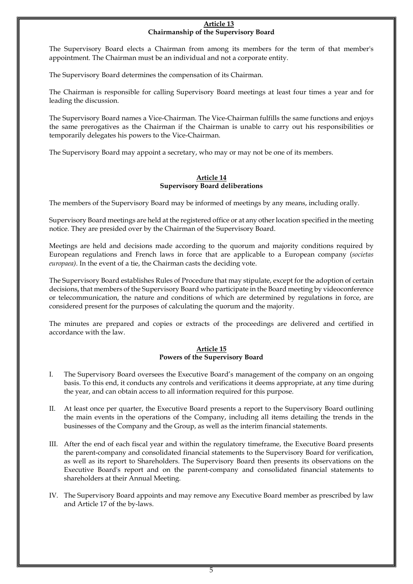#### **Article 13 Chairmanship of the Supervisory Board**

The Supervisory Board elects a Chairman from among its members for the term of that member's appointment. The Chairman must be an individual and not a corporate entity.

The Supervisory Board determines the compensation of its Chairman.

The Chairman is responsible for calling Supervisory Board meetings at least four times a year and for leading the discussion.

The Supervisory Board names a Vice-Chairman. The Vice-Chairman fulfills the same functions and enjoys the same prerogatives as the Chairman if the Chairman is unable to carry out his responsibilities or temporarily delegates his powers to the Vice-Chairman.

The Supervisory Board may appoint a secretary, who may or may not be one of its members.

#### **Article 14 Supervisory Board deliberations**

The members of the Supervisory Board may be informed of meetings by any means, including orally.

Supervisory Board meetings are held at the registered office or at any other location specified in the meeting notice. They are presided over by the Chairman of the Supervisory Board.

Meetings are held and decisions made according to the quorum and majority conditions required by European regulations and French laws in force that are applicable to a European company (*societas europaea)*. In the event of a tie, the Chairman casts the deciding vote.

The Supervisory Board establishes Rules of Procedure that may stipulate, except for the adoption of certain decisions, that members of the Supervisory Board who participate in the Board meeting by videoconference or telecommunication, the nature and conditions of which are determined by regulations in force, are considered present for the purposes of calculating the quorum and the majority.

The minutes are prepared and copies or extracts of the proceedings are delivered and certified in accordance with the law.

#### **Article 15 Powers of the Supervisory Board**

- I. The Supervisory Board oversees the Executive Board's management of the company on an ongoing basis. To this end, it conducts any controls and verifications it deems appropriate, at any time during the year, and can obtain access to all information required for this purpose.
- II. At least once per quarter, the Executive Board presents a report to the Supervisory Board outlining the main events in the operations of the Company, including all items detailing the trends in the businesses of the Company and the Group, as well as the interim financial statements.
- III. After the end of each fiscal year and within the regulatory timeframe, the Executive Board presents the parent-company and consolidated financial statements to the Supervisory Board for verification, as well as its report to Shareholders. The Supervisory Board then presents its observations on the Executive Board's report and on the parent-company and consolidated financial statements to shareholders at their Annual Meeting.
- IV. The Supervisory Board appoints and may remove any Executive Board member as prescribed by law and Article 17 of the by-laws.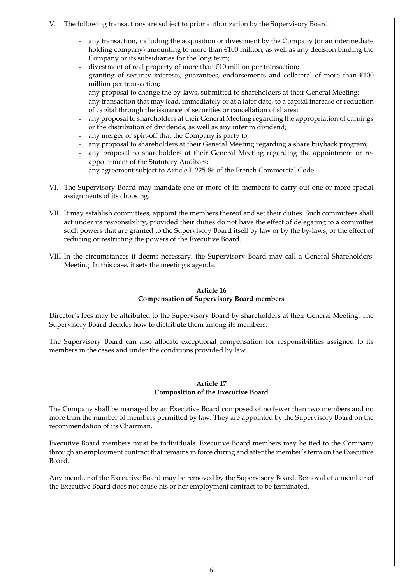- V. The following transactions are subject to prior authorization by the Supervisory Board:
	- any transaction, including the acquisition or divestment by the Company (or an intermediate holding company) amounting to more than €100 million, as well as any decision binding the Company or its subsidiaries for the long term;
	- divestment of real property of more than €10 million per transaction;
	- granting of security interests, guarantees, endorsements and collateral of more than €100 million per transaction;
	- any proposal to change the by-laws, submitted to shareholders at their General Meeting;
	- any transaction that may lead, immediately or at a later date, to a capital increase or reduction of capital through the issuance of securities or cancellation of shares;
	- any proposal to shareholders at their General Meeting regarding the appropriation of earnings or the distribution of dividends, as well as any interim dividend;
	- any merger or spin-off that the Company is party to;
	- any proposal to shareholders at their General Meeting regarding a share buyback program;
	- any proposal to shareholders at their General Meeting regarding the appointment or reappointment of the Statutory Auditors;
	- any agreement subject to Article L.225-86 of the French Commercial Code.
- VI. The Supervisory Board may mandate one or more of its members to carry out one or more special assignments of its choosing.
- VII. It may establish committees, appoint the members thereof and set their duties. Such committees shall act under its responsibility, provided their duties do not have the effect of delegating to a committee such powers that are granted to the Supervisory Board itself by law or by the by-laws, or the effect of reducing or restricting the powers of the Executive Board.
- VIII.In the circumstances it deems necessary, the Supervisory Board may call a General Shareholders' Meeting. In this case, it sets the meeting's agenda.

### **Article 16 Compensation of Supervisory Board members**

Director's fees may be attributed to the Supervisory Board by shareholders at their General Meeting. The Supervisory Board decides how to distribute them among its members.

The Supervisory Board can also allocate exceptional compensation for responsibilities assigned to its members in the cases and under the conditions provided by law.

# **Article 17 Composition of the Executive Board**

The Company shall be managed by an Executive Board composed of no fewer than two members and no more than the number of members permitted by law. They are appointed by the Supervisory Board on the recommendation of its Chairman.

Executive Board members must be individuals. Executive Board members may be tied to the Company through an employment contract that remains in force during and after the member's term on the Executive Board.

Any member of the Executive Board may be removed by the Supervisory Board. Removal of a member of the Executive Board does not cause his or her employment contract to be terminated.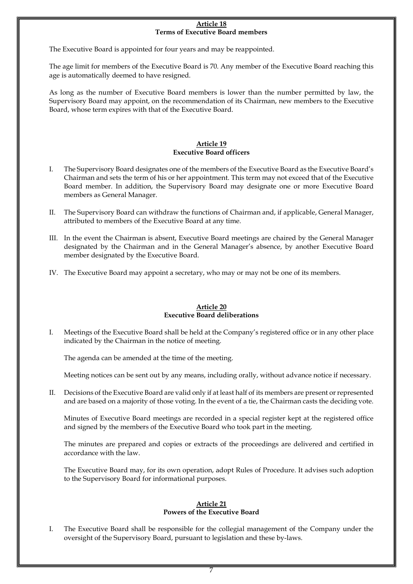#### **Article 18 Terms of Executive Board members**

The Executive Board is appointed for four years and may be reappointed.

The age limit for members of the Executive Board is 70. Any member of the Executive Board reaching this age is automatically deemed to have resigned.

As long as the number of Executive Board members is lower than the number permitted by law, the Supervisory Board may appoint, on the recommendation of its Chairman, new members to the Executive Board, whose term expires with that of the Executive Board.

# **Article 19 Executive Board officers**

- I. The Supervisory Board designates one of the members of the Executive Board as the Executive Board's Chairman and sets the term of his or her appointment. This term may not exceed that of the Executive Board member. In addition, the Supervisory Board may designate one or more Executive Board members as General Manager.
- II. The Supervisory Board can withdraw the functions of Chairman and, if applicable, General Manager, attributed to members of the Executive Board at any time.
- III. In the event the Chairman is absent, Executive Board meetings are chaired by the General Manager designated by the Chairman and in the General Manager's absence, by another Executive Board member designated by the Executive Board.
- IV. The Executive Board may appoint a secretary, who may or may not be one of its members.

# **Article 20 Executive Board deliberations**

I. Meetings of the Executive Board shall be held at the Company's registered office or in any other place indicated by the Chairman in the notice of meeting.

The agenda can be amended at the time of the meeting.

Meeting notices can be sent out by any means, including orally, without advance notice if necessary.

II. Decisions of the Executive Board are valid only if at least half of its members are present or represented and are based on a majority of those voting. In the event of a tie, the Chairman casts the deciding vote.

Minutes of Executive Board meetings are recorded in a special register kept at the registered office and signed by the members of the Executive Board who took part in the meeting.

The minutes are prepared and copies or extracts of the proceedings are delivered and certified in accordance with the law.

The Executive Board may, for its own operation, adopt Rules of Procedure. It advises such adoption to the Supervisory Board for informational purposes.

#### **Article 21 Powers of the Executive Board**

I. The Executive Board shall be responsible for the collegial management of the Company under the oversight of the Supervisory Board, pursuant to legislation and these by-laws.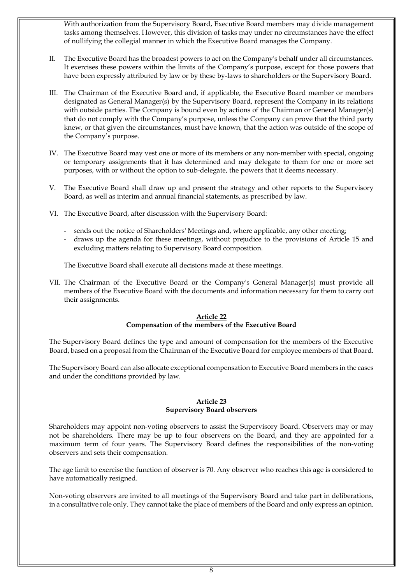With authorization from the Supervisory Board, Executive Board members may divide management tasks among themselves. However, this division of tasks may under no circumstances have the effect of nullifying the collegial manner in which the Executive Board manages the Company.

- II. The Executive Board has the broadest powers to act on the Company's behalf under all circumstances. It exercises these powers within the limits of the Company's purpose, except for those powers that have been expressly attributed by law or by these by-laws to shareholders or the Supervisory Board.
- III. The Chairman of the Executive Board and, if applicable, the Executive Board member or members designated as General Manager(s) by the Supervisory Board, represent the Company in its relations with outside parties. The Company is bound even by actions of the Chairman or General Manager(s) that do not comply with the Company's purpose, unless the Company can prove that the third party knew, or that given the circumstances, must have known, that the action was outside of the scope of the Company's purpose.
- IV. The Executive Board may vest one or more of its members or any non-member with special, ongoing or temporary assignments that it has determined and may delegate to them for one or more set purposes, with or without the option to sub-delegate, the powers that it deems necessary.
- V. The Executive Board shall draw up and present the strategy and other reports to the Supervisory Board, as well as interim and annual financial statements, as prescribed by law.
- VI. The Executive Board, after discussion with the Supervisory Board:
	- sends out the notice of Shareholders' Meetings and, where applicable, any other meeting;
	- draws up the agenda for these meetings, without prejudice to the provisions of Article 15 and excluding matters relating to Supervisory Board composition.

The Executive Board shall execute all decisions made at these meetings.

VII. The Chairman of the Executive Board or the Company's General Manager(s) must provide all members of the Executive Board with the documents and information necessary for them to carry out their assignments.

# **Article 22 Compensation of the members of the Executive Board**

The Supervisory Board defines the type and amount of compensation for the members of the Executive Board, based on a proposal from the Chairman of the Executive Board for employee members of that Board.

The Supervisory Board can also allocate exceptional compensation to Executive Board members in the cases and under the conditions provided by law.

# **Article 23 Supervisory Board observers**

Shareholders may appoint non-voting observers to assist the Supervisory Board. Observers may or may not be shareholders. There may be up to four observers on the Board, and they are appointed for a maximum term of four years. The Supervisory Board defines the responsibilities of the non-voting observers and sets their compensation.

The age limit to exercise the function of observer is 70. Any observer who reaches this age is considered to have automatically resigned.

Non-voting observers are invited to all meetings of the Supervisory Board and take part in deliberations, in a consultative role only. They cannot take the place of members of the Board and only express an opinion.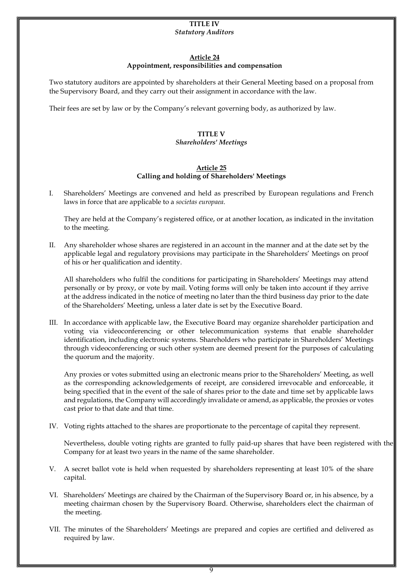#### **TITLE IV** *Statutory Auditors*

# **Article 24**

# **Appointment, responsibilities and compensation**

Two statutory auditors are appointed by shareholders at their General Meeting based on a proposal from the Supervisory Board, and they carry out their assignment in accordance with the law.

Their fees are set by law or by the Company's relevant governing body, as authorized by law.

# **TITLE V**

# *Shareholders' Meetings*

# **Article 25 Calling and holding of Shareholders' Meetings**

I. Shareholders' Meetings are convened and held as prescribed by European regulations and French laws in force that are applicable to a *societas europaea*.

They are held at the Company's registered office, or at another location, as indicated in the invitation to the meeting.

II. Any shareholder whose shares are registered in an account in the manner and at the date set by the applicable legal and regulatory provisions may participate in the Shareholders' Meetings on proof of his or her qualification and identity.

All shareholders who fulfil the conditions for participating in Shareholders' Meetings may attend personally or by proxy, or vote by mail. Voting forms will only be taken into account if they arrive at the address indicated in the notice of meeting no later than the third business day prior to the date of the Shareholders' Meeting, unless a later date is set by the Executive Board.

III. In accordance with applicable law, the Executive Board may organize shareholder participation and voting via videoconferencing or other telecommunication systems that enable shareholder identification, including electronic systems. Shareholders who participate in Shareholders' Meetings through videoconferencing or such other system are deemed present for the purposes of calculating the quorum and the majority.

Any proxies or votes submitted using an electronic means prior to the Shareholders' Meeting, as well as the corresponding acknowledgements of receipt, are considered irrevocable and enforceable, it being specified that in the event of the sale of shares prior to the date and time set by applicable laws and regulations, the Company will accordingly invalidate or amend, as applicable, the proxies or votes cast prior to that date and that time.

IV. Voting rights attached to the shares are proportionate to the percentage of capital they represent.

Nevertheless, double voting rights are granted to fully paid-up shares that have been registered with the Company for at least two years in the name of the same shareholder.

- V. A secret ballot vote is held when requested by shareholders representing at least 10% of the share capital.
- VI. Shareholders' Meetings are chaired by the Chairman of the Supervisory Board or, in his absence, by a meeting chairman chosen by the Supervisory Board. Otherwise, shareholders elect the chairman of the meeting.
- VII. The minutes of the Shareholders' Meetings are prepared and copies are certified and delivered as required by law.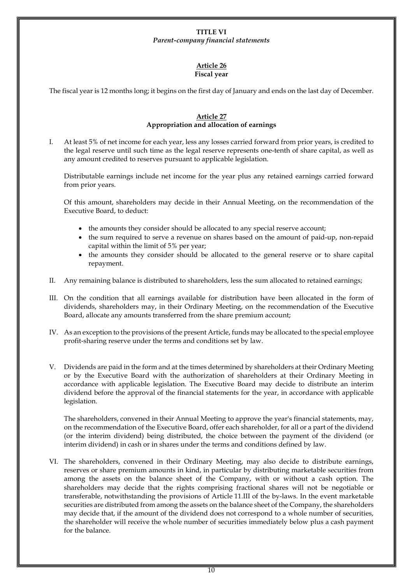#### **TITLE VI** *Parent-company financial statements*

#### **Article 26 Fiscal year**

The fiscal year is 12 months long; it begins on the first day of January and ends on the last day of December.

# **Article 27 Appropriation and allocation of earnings**

I. At least 5% of net income for each year, less any losses carried forward from prior years, is credited to the legal reserve until such time as the legal reserve represents one-tenth of share capital, as well as any amount credited to reserves pursuant to applicable legislation.

Distributable earnings include net income for the year plus any retained earnings carried forward from prior years.

Of this amount, shareholders may decide in their Annual Meeting, on the recommendation of the Executive Board, to deduct:

- the amounts they consider should be allocated to any special reserve account;
- the sum required to serve a revenue on shares based on the amount of paid-up, non-repaid capital within the limit of 5% per year;
- the amounts they consider should be allocated to the general reserve or to share capital repayment.
- II. Any remaining balance is distributed to shareholders, less the sum allocated to retained earnings;
- III. On the condition that all earnings available for distribution have been allocated in the form of dividends, shareholders may, in their Ordinary Meeting, on the recommendation of the Executive Board, allocate any amounts transferred from the share premium account;
- IV. As an exception to the provisions of the present Article, funds may be allocated to the special employee profit-sharing reserve under the terms and conditions set by law.
- V. Dividends are paid in the form and at the times determined by shareholders at their Ordinary Meeting or by the Executive Board with the authorization of shareholders at their Ordinary Meeting in accordance with applicable legislation. The Executive Board may decide to distribute an interim dividend before the approval of the financial statements for the year, in accordance with applicable legislation.

The shareholders, convened in their Annual Meeting to approve the year's financial statements, may, on the recommendation of the Executive Board, offer each shareholder, for all or a part of the dividend (or the interim dividend) being distributed, the choice between the payment of the dividend (or interim dividend) in cash or in shares under the terms and conditions defined by law.

VI. The shareholders, convened in their Ordinary Meeting, may also decide to distribute earnings, reserves or share premium amounts in kind, in particular by distributing marketable securities from among the assets on the balance sheet of the Company, with or without a cash option. The shareholders may decide that the rights comprising fractional shares will not be negotiable or transferable, notwithstanding the provisions of Article 11.III of the by-laws. In the event marketable securities are distributed from among the assets on the balance sheet of the Company, the shareholders may decide that, if the amount of the dividend does not correspond to a whole number of securities, the shareholder will receive the whole number of securities immediately below plus a cash payment for the balance.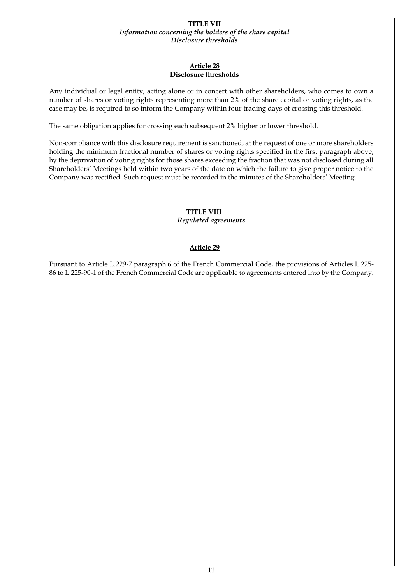#### **TITLE VII** *Information concerning the holders of the share capital Disclosure thresholds*

# **Article 28 Disclosure thresholds**

Any individual or legal entity, acting alone or in concert with other shareholders, who comes to own a number of shares or voting rights representing more than 2% of the share capital or voting rights, as the case may be, is required to so inform the Company within four trading days of crossing this threshold.

The same obligation applies for crossing each subsequent 2% higher or lower threshold.

Non-compliance with this disclosure requirement is sanctioned, at the request of one or more shareholders holding the minimum fractional number of shares or voting rights specified in the first paragraph above, by the deprivation of voting rights for those shares exceeding the fraction that was not disclosed during all Shareholders' Meetings held within two years of the date on which the failure to give proper notice to the Company was rectified. Such request must be recorded in the minutes of the Shareholders' Meeting.

# **TITLE VIII**

*Regulated agreements*

# **Article 29**

Pursuant to Article L.229-7 paragraph 6 of the French Commercial Code, the provisions of Articles L.225- 86 to L.225-90-1 of the French Commercial Code are applicable to agreements entered into by the Company.